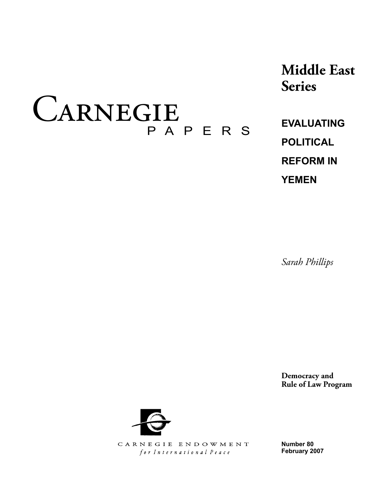

**Middle East Series** 

**Evaluating Political Reform in Yemen**

*Sarah Phillips*

**Democracy and Rule of Law Program**



CARNEGIE ENDOWMENT for International Peace

**Number 80 February 2007**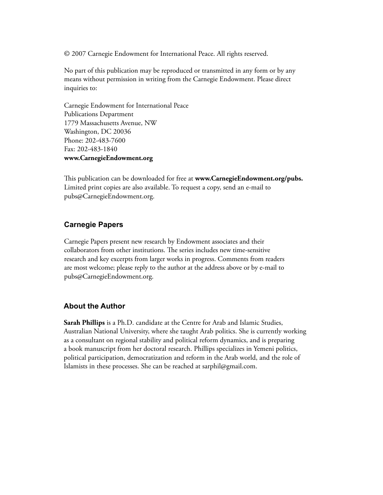© 2007 Carnegie Endowment for International Peace. All rights reserved.

No part of this publication may be reproduced or transmitted in any form or by any means without permission in writing from the Carnegie Endowment. Please direct inquiries to:

Carnegie Endowment for International Peace Publications Department 1779 Massachusetts Avenue, NW Washington, DC 20036 Phone: 202-483-7600 Fax: 202-483-1840 **www.CarnegieEndowment.org**

This publication can be downloaded for free at **www.CarnegieEndowment.org/pubs.** Limited print copies are also available. To request a copy, send an e-mail to pubs@CarnegieEndowment.org.

# **Carnegie Papers**

Carnegie Papers present new research by Endowment associates and their collaborators from other institutions. The series includes new time-sensitive research and key excerpts from larger works in progress. Comments from readers are most welcome; please reply to the author at the address above or by e-mail to pubs@CarnegieEndowment.org.

## **About the Author**

**Sarah Phillips** is a Ph.D. candidate at the Centre for Arab and Islamic Studies, Australian National University, where she taught Arab politics. She is currently working as a consultant on regional stability and political reform dynamics, and is preparing a book manuscript from her doctoral research. Phillips specializes in Yemeni politics, political participation, democratization and reform in the Arab world, and the role of Islamists in these processes. She can be reached at sarphil@gmail.com.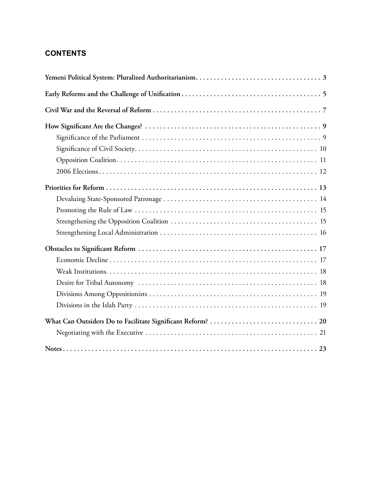# **Contents**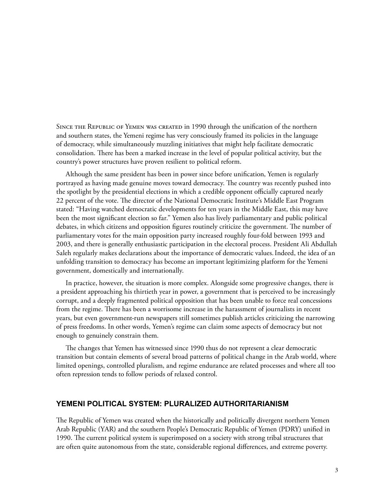Since the Republic of Yemen was created in 1990 through the unification of the northern and southern states, the Yemeni regime has very consciously framed its policies in the language of democracy, while simultaneously muzzling initiatives that might help facilitate democratic consolidation. There has been a marked increase in the level of popular political activity, but the country's power structures have proven resilient to political reform.

Although the same president has been in power since before unification, Yemen is regularly portrayed as having made genuine moves toward democracy. The country was recently pushed into the spotlight by the presidential elections in which a credible opponent officially captured nearly 22 percent of the vote. The director of the National Democratic Institute's Middle East Program stated: "Having watched democratic developments for ten years in the Middle East, this may have been the most significant election so far." Yemen also has lively parliamentary and public political debates, in which citizens and opposition figures routinely criticize the government. The number of parliamentary votes for the main opposition party increased roughly four-fold between 1993 and 2003, and there is generally enthusiastic participation in the electoral process. President Ali Abdullah Saleh regularly makes declarations about the importance of democratic values.Indeed, the idea of an unfolding transition to democracy has become an important legitimizing platform for the Yemeni government, domestically and internationally.

In practice, however, the situation is more complex. Alongside some progressive changes, there is a president approaching his thirtieth year in power, a government that is perceived to be increasingly corrupt, and a deeply fragmented political opposition that has been unable to force real concessions from the regime. There has been a worrisome increase in the harassment of journalists in recent years, but even government-run newspapers still sometimes publish articles criticizing the narrowing of press freedoms. In other words, Yemen's regime can claim some aspects of democracy but not enough to genuinely constrain them.

The changes that Yemen has witnessed since 1990 thus do not represent a clear democratic transition but contain elements of several broad patterns of political change in the Arab world, where limited openings, controlled pluralism, and regime endurance are related processes and where all too often repression tends to follow periods of relaxed control.

## **Yemeni Political System: Pluralized Authoritarianism**

The Republic of Yemen was created when the historically and politically divergent northern Yemen Arab Republic (YAR) and the southern People's Democratic Republic of Yemen (PDRY) unified in 1990. The current political system is superimposed on a society with strong tribal structures that are often quite autonomous from the state, considerable regional differences, and extreme poverty.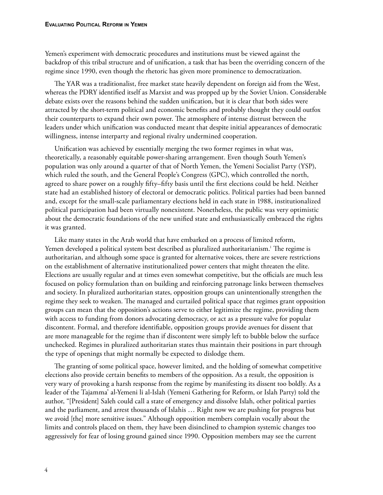Yemen's experiment with democratic procedures and institutions must be viewed against the backdrop of this tribal structure and of unification, a task that has been the overriding concern of the regime since 1990, even though the rhetoric has given more prominence to democratization.

The YAR was a traditionalist, free market state heavily dependent on foreign aid from the West, whereas the PDRY identified itself as Marxist and was propped up by the Soviet Union. Considerable debate exists over the reasons behind the sudden unification, but it is clear that both sides were attracted by the short-term political and economic benefits and probably thought they could outfox their counterparts to expand their own power. The atmosphere of intense distrust between the leaders under which unification was conducted meant that despite initial appearances of democratic willingness, intense interparty and regional rivalry undermined cooperation.

Unification was achieved by essentially merging the two former regimes in what was, theoretically, a reasonably equitable power-sharing arrangement. Even though South Yemen's population was only around a quarter of that of North Yemen, the Yemeni Socialist Party (YSP), which ruled the south, and the General People's Congress (GPC), which controlled the north, agreed to share power on a roughly fifty–fifty basis until the first elections could be held. Neither state had an established history of electoral or democratic politics. Political parties had been banned and, except for the small-scale parliamentary elections held in each state in 1988, institutionalized political participation had been virtually nonexistent. Nonetheless, the public was very optimistic about the democratic foundations of the new unified state and enthusiastically embraced the rights it was granted.

Like many states in the Arab world that have embarked on a process of limited reform, Yemen developed a political system best described as pluralized authoritarianism.1 The regime is authoritarian, and although some space is granted for alternative voices, there are severe restrictions on the establishment of alternative institutionalized power centers that might threaten the elite. Elections are usually regular and at times even somewhat competitive, but the officials are much less focused on policy formulation than on building and reinforcing patronage links between themselves and society. In pluralized authoritarian states, opposition groups can unintentionally strengthen the regime they seek to weaken. The managed and curtailed political space that regimes grant opposition groups can mean that the opposition's actions serve to either legitimize the regime, providing them with access to funding from donors advocating democracy, or act as a pressure valve for popular discontent. Formal, and therefore identifiable, opposition groups provide avenues for dissent that are more manageable for the regime than if discontent were simply left to bubble below the surface unchecked. Regimes in pluralized authoritarian states thus maintain their positions in part through the type of openings that might normally be expected to dislodge them.

The granting of some political space, however limited, and the holding of somewhat competitive elections also provide certain benefits to members of the opposition. As a result, the opposition is very wary of provoking a harsh response from the regime by manifesting its dissent too boldly. As a leader of the Tajamma' al-Yemeni li al-Islah (Yemeni Gathering for Reform, or Islah Party) told the author, "[President] Saleh could call a state of emergency and dissolve Islah, other political parties and the parliament, and arrest thousands of Islahis … Right now we are pushing for progress but we avoid [the] more sensitive issues." Although opposition members complain vocally about the limits and controls placed on them, they have been disinclined to champion systemic changes too aggressively for fear of losing ground gained since 1990. Opposition members may see the current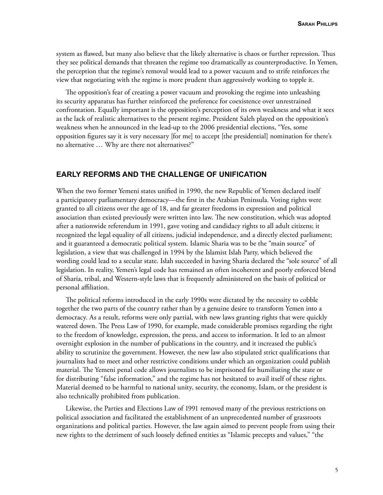system as flawed, but many also believe that the likely alternative is chaos or further repression. Thus they see political demands that threaten the regime too dramatically as counterproductive. In Yemen, the perception that the regime's removal would lead to a power vacuum and to strife reinforces the view that negotiating with the regime is more prudent than aggressively working to topple it.

The opposition's fear of creating a power vacuum and provoking the regime into unleashing its security apparatus has further reinforced the preference for coexistence over unrestrained confrontation. Equally important is the opposition's perception of its own weakness and what it sees as the lack of realistic alternatives to the present regime. President Saleh played on the opposition's weakness when he announced in the lead-up to the 2006 presidential elections, "Yes, some opposition figures say it is very necessary [for me] to accept [the presidential] nomination for there's no alternative … Why are there not alternatives?"

## **Early Reforms and the Challenge of Unification**

When the two former Yemeni states unified in 1990, the new Republic of Yemen declared itself a participatory parliamentary democracy—the first in the Arabian Peninsula. Voting rights were granted to all citizens over the age of 18, and far greater freedoms in expression and political association than existed previously were written into law. The new constitution, which was adopted after a nationwide referendum in 1991, gave voting and candidacy rights to all adult citizens; it recognized the legal equality of all citizens, judicial independence, and a directly elected parliament; and it guaranteed a democratic political system. Islamic Sharia was to be the "main source" of legislation, a view that was challenged in 1994 by the Islamist Islah Party, which believed the wording could lead to a secular state. Islah succeeded in having Sharia declared the "sole source" of all legislation. In reality, Yemen's legal code has remained an often incoherent and poorly enforced blend of Sharia, tribal, and Western-style laws that is frequently administered on the basis of political or personal affiliation.

The political reforms introduced in the early 1990s were dictated by the necessity to cobble together the two parts of the country rather than by a genuine desire to transform Yemen into a democracy. As a result, reforms were only partial, with new laws granting rights that were quickly watered down. The Press Law of 1990, for example, made considerable promises regarding the right to the freedom of knowledge, expression, the press, and access to information. It led to an almost overnight explosion in the number of publications in the country, and it increased the public's ability to scrutinize the government. However, the new law also stipulated strict qualifications that journalists had to meet and other restrictive conditions under which an organization could publish material. The Yemeni penal code allows journalists to be imprisoned for humiliating the state or for distributing "false information," and the regime has not hesitated to avail itself of these rights. Material deemed to be harmful to national unity, security, the economy, Islam, or the president is also technically prohibited from publication.

Likewise, the Parties and Elections Law of 1991 removed many of the previous restrictions on political association and facilitated the establishment of an unprecedented number of grassroots organizations and political parties. However, the law again aimed to prevent people from using their new rights to the detriment of such loosely defined entities as "Islamic precepts and values," "the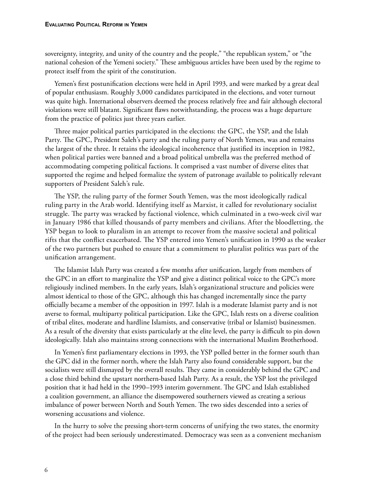sovereignty, integrity, and unity of the country and the people," "the republican system," or "the national cohesion of the Yemeni society." These ambiguous articles have been used by the regime to protect itself from the spirit of the constitution.

Yemen's first postunification elections were held in April 1993, and were marked by a great deal of popular enthusiasm. Roughly 3,000 candidates participated in the elections, and voter turnout was quite high. International observers deemed the process relatively free and fair although electoral violations were still blatant. Significant flaws notwithstanding, the process was a huge departure from the practice of politics just three years earlier.

Three major political parties participated in the elections: the GPC, the YSP, and the Islah Party. The GPC, President Saleh's party and the ruling party of North Yemen, was and remains the largest of the three. It retains the ideological incoherence that justified its inception in 1982, when political parties were banned and a broad political umbrella was the preferred method of accommodating competing political factions. It comprised a vast number of diverse elites that supported the regime and helped formalize the system of patronage available to politically relevant supporters of President Saleh's rule.

The YSP, the ruling party of the former South Yemen, was the most ideologically radical ruling party in the Arab world. Identifying itself as Marxist, it called for revolutionary socialist struggle. The party was wracked by factional violence, which culminated in a two-week civil war in January 1986 that killed thousands of party members and civilians. After the bloodletting, the YSP began to look to pluralism in an attempt to recover from the massive societal and political rifts that the conflict exacerbated. The YSP entered into Yemen's unification in 1990 as the weaker of the two partners but pushed to ensure that a commitment to pluralist politics was part of the unification arrangement.

The Islamist Islah Party was created a few months after unification, largely from members of the GPC in an effort to marginalize the YSP and give a distinct political voice to the GPC's more religiously inclined members. In the early years, Islah's organizational structure and policies were almost identical to those of the GPC, although this has changed incrementally since the party officially became a member of the opposition in 1997. Islah is a moderate Islamist party and is not averse to formal, multiparty political participation. Like the GPC, Islah rests on a diverse coalition of tribal elites, moderate and hardline Islamists, and conservative (tribal or Islamist) businessmen. As a result of the diversity that exists particularly at the elite level, the party is difficult to pin down ideologically. Islah also maintains strong connections with the international Muslim Brotherhood.

In Yemen's first parliamentary elections in 1993, the YSP polled better in the former south than the GPC did in the former north, where the Islah Party also found considerable support, but the socialists were still dismayed by the overall results. They came in considerably behind the GPC and a close third behind the upstart northern-based Islah Party. As a result, the YSP lost the privileged position that it had held in the 1990–1993 interim government. The GPC and Islah established a coalition government, an alliance the disempowered southerners viewed as creating a serious imbalance of power between North and South Yemen. The two sides descended into a series of worsening accusations and violence.

In the hurry to solve the pressing short-term concerns of unifying the two states, the enormity of the project had been seriously underestimated. Democracy was seen as a convenient mechanism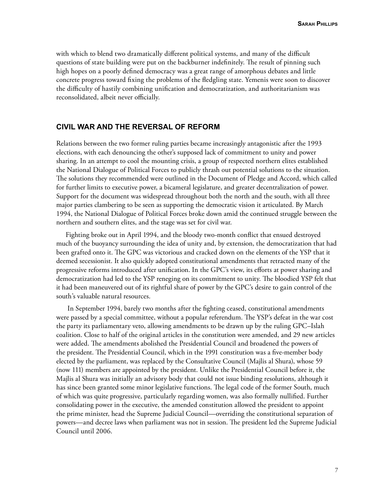with which to blend two dramatically different political systems, and many of the difficult questions of state building were put on the backburner indefinitely. The result of pinning such high hopes on a poorly defined democracy was a great range of amorphous debates and little concrete progress toward fixing the problems of the fledgling state. Yemenis were soon to discover the difficulty of hastily combining unification and democratization, and authoritarianism was reconsolidated, albeit never officially.

## **Civil War and the Reversal of Reform**

Relations between the two former ruling parties became increasingly antagonistic after the 1993 elections, with each denouncing the other's supposed lack of commitment to unity and power sharing. In an attempt to cool the mounting crisis, a group of respected northern elites established the National Dialogue of Political Forces to publicly thrash out potential solutions to the situation. The solutions they recommended were outlined in the Document of Pledge and Accord, which called for further limits to executive power, a bicameral legislature, and greater decentralization of power. Support for the document was widespread throughout both the north and the south, with all three major parties clambering to be seen as supporting the democratic vision it articulated. By March 1994, the National Dialogue of Political Forces broke down amid the continued struggle between the northern and southern elites, and the stage was set for civil war.

Fighting broke out in April 1994, and the bloody two-month conflict that ensued destroyed much of the buoyancy surrounding the idea of unity and, by extension, the democratization that had been grafted onto it. The GPC was victorious and cracked down on the elements of the YSP that it deemed secessionist. It also quickly adopted constitutional amendments that retracted many of the progressive reforms introduced after unification. In the GPC's view, its efforts at power sharing and democratization had led to the YSP reneging on its commitment to unity. The bloodied YSP felt that it had been maneuvered out of its rightful share of power by the GPC's desire to gain control of the south's valuable natural resources.

 In September 1994, barely two months after the fighting ceased, constitutional amendments were passed by a special committee, without a popular referendum. The YSP's defeat in the war cost the party its parliamentary veto, allowing amendments to be drawn up by the ruling GPC–Islah coalition. Close to half of the original articles in the constitution were amended, and 29 new articles were added. The amendments abolished the Presidential Council and broadened the powers of the president. The Presidential Council, which in the 1991 constitution was a five-member body elected by the parliament, was replaced by the Consultative Council (Majlis al Shura), whose 59 (now 111) members are appointed by the president. Unlike the Presidential Council before it, the Majlis al Shura was initially an advisory body that could not issue binding resolutions, although it has since been granted some minor legislative functions. The legal code of the former South, much of which was quite progressive, particularly regarding women, was also formally nullified. Further consolidating power in the executive, the amended constitution allowed the president to appoint the prime minister, head the Supreme Judicial Council—overriding the constitutional separation of powers—and decree laws when parliament was not in session. The president led the Supreme Judicial Council until 2006.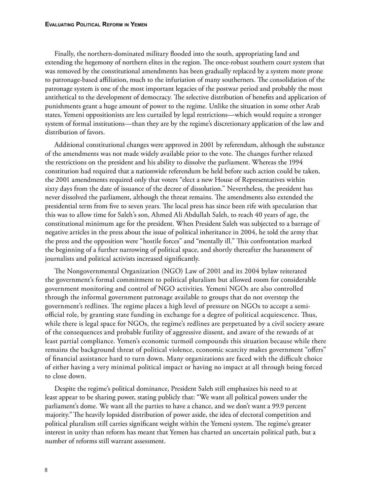#### **Evaluating Political Reform in Yemen**

Finally, the northern-dominated military flooded into the south, appropriating land and extending the hegemony of northern elites in the region. The once-robust southern court system that was removed by the constitutional amendments has been gradually replaced by a system more prone to patronage-based affiliation, much to the infuriation of many southerners. The consolidation of the patronage system is one of the most important legacies of the postwar period and probably the most antithetical to the development of democracy. The selective distribution of benefits and application of punishments grant a huge amount of power to the regime. Unlike the situation in some other Arab states, Yemeni oppositionists are less curtailed by legal restrictions—which would require a stronger system of formal institutions—than they are by the regime's discretionary application of the law and distribution of favors.

Additional constitutional changes were approved in 2001 by referendum, although the substance of the amendments was not made widely available prior to the vote. The changes further relaxed the restrictions on the president and his ability to dissolve the parliament. Whereas the 1994 constitution had required that a nationwide referendum be held before such action could be taken, the 2001 amendments required only that voters "elect a new House of Representatives within sixty days from the date of issuance of the decree of dissolution." Nevertheless, the president has never dissolved the parliament, although the threat remains. The amendments also extended the presidential term from five to seven years. The local press has since been rife with speculation that this was to allow time for Saleh's son, Ahmed Ali Abdullah Saleh, to reach 40 years of age, the constitutional minimum age for the president. When President Saleh was subjected to a barrage of negative articles in the press about the issue of political inheritance in 2004, he told the army that the press and the opposition were "hostile forces" and "mentally ill." This confrontation marked the beginning of a further narrowing of political space, and shortly thereafter the harassment of journalists and political activists increased significantly.

The Nongovernmental Organization (NGO) Law of 2001 and its 2004 bylaw reiterated the government's formal commitment to political pluralism but allowed room for considerable government monitoring and control of NGO activities. Yemeni NGOs are also controlled through the informal government patronage available to groups that do not overstep the government's redlines. The regime places a high level of pressure on NGOs to accept a semiofficial role, by granting state funding in exchange for a degree of political acquiescence. Thus, while there is legal space for NGOs, the regime's redlines are perpetuated by a civil society aware of the consequences and probable futility of aggressive dissent, and aware of the rewards of at least partial compliance. Yemen's economic turmoil compounds this situation because while there remains the background threat of political violence, economic scarcity makes government "offers" of financial assistance hard to turn down. Many organizations are faced with the difficult choice of either having a very minimal political impact or having no impact at all through being forced to close down.

Despite the regime's political dominance, President Saleh still emphasizes his need to at least appear to be sharing power, stating publicly that: "We want all political powers under the parliament's dome. We want all the parties to have a chance, and we don't want a 99.9 percent majority."The heavily lopsided distribution of power aside, the idea of electoral competition and political pluralism still carries significant weight within the Yemeni system. The regime's greater interest in unity than reform has meant that Yemen has charted an uncertain political path, but a number of reforms still warrant assessment.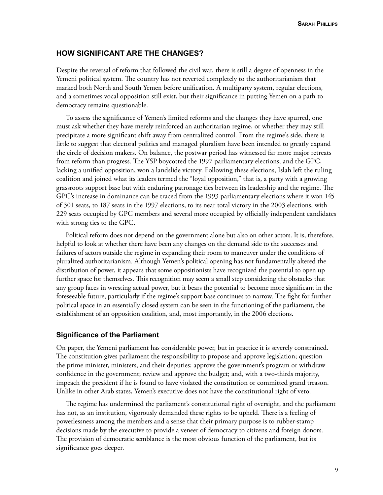### **How Significant Are the Changes?**

Despite the reversal of reform that followed the civil war, there is still a degree of openness in the Yemeni political system. The country has not reverted completely to the authoritarianism that marked both North and South Yemen before unification. A multiparty system, regular elections, and a sometimes vocal opposition still exist, but their significance in putting Yemen on a path to democracy remains questionable.

To assess the significance of Yemen's limited reforms and the changes they have spurred, one must ask whether they have merely reinforced an authoritarian regime, or whether they may still precipitate a more significant shift away from centralized control. From the regime's side, there is little to suggest that electoral politics and managed pluralism have been intended to greatly expand the circle of decision makers. On balance, the postwar period has witnessed far more major retreats from reform than progress. The YSP boycotted the 1997 parliamentary elections, and the GPC, lacking a unified opposition, won a landslide victory. Following these elections, Islah left the ruling coalition and joined what its leaders termed the "loyal opposition," that is, a party with a growing grassroots support base but with enduring patronage ties between its leadership and the regime. The GPC's increase in dominance can be traced from the 1993 parliamentary elections where it won 145 of 301 seats, to 187 seats in the 1997 elections, to its near total victory in the 2003 elections, with 229 seats occupied by GPC members and several more occupied by officially independent candidates with strong ties to the GPC.

Political reform does not depend on the government alone but also on other actors. It is, therefore, helpful to look at whether there have been any changes on the demand side to the successes and failures of actors outside the regime in expanding their room to maneuver under the conditions of pluralized authoritarianism. Although Yemen's political opening has not fundamentally altered the distribution of power, it appears that some oppositionists have recognized the potential to open up further space for themselves. This recognition may seem a small step considering the obstacles that any group faces in wresting actual power, but it bears the potential to become more significant in the foreseeable future, particularly if the regime's support base continues to narrow. The fight for further political space in an essentially closed system can be seen in the functioning of the parliament, the establishment of an opposition coalition, and, most importantly, in the 2006 elections.

#### **Significance of the Parliament**

On paper, the Yemeni parliament has considerable power, but in practice it is severely constrained. The constitution gives parliament the responsibility to propose and approve legislation; question the prime minister, ministers, and their deputies; approve the government's program or withdraw confidence in the government; review and approve the budget; and, with a two-thirds majority, impeach the president if he is found to have violated the constitution or committed grand treason. Unlike in other Arab states, Yemen's executive does not have the constitutional right of veto.

The regime has undermined the parliament's constitutional right of oversight, and the parliament has not, as an institution, vigorously demanded these rights to be upheld. There is a feeling of powerlessness among the members and a sense that their primary purpose is to rubber-stamp decisions made by the executive to provide a veneer of democracy to citizens and foreign donors. The provision of democratic semblance is the most obvious function of the parliament, but its significance goes deeper.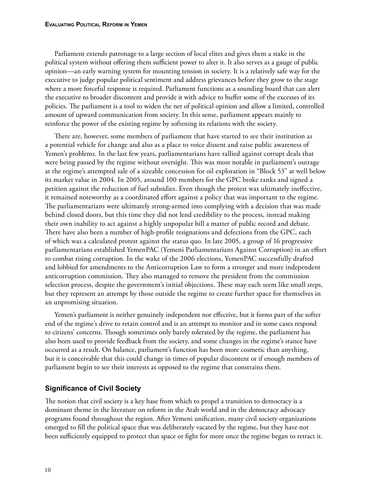Parliament extends patronage to a large section of local elites and gives them a stake in the political system without offering them sufficient power to alter it. It also serves as a gauge of public opinion—an early warning system for mounting tension in society. It is a relatively safe way for the executive to judge popular political sentiment and address grievances before they grow to the stage where a more forceful response is required. Parliament functions as a sounding board that can alert the executive to broader discontent and provide it with advice to buffer some of the excesses of its policies. The parliament is a tool to widen the net of political opinion and allow a limited, controlled amount of upward communication from society. In this sense, parliament appears mainly to reinforce the power of the existing regime by softening its relations with the society.

There are, however, some members of parliament that have started to see their institution as a potential vehicle for change and also as a place to voice dissent and raise public awareness of Yemen's problems. In the last few years, parliamentarians have rallied against corrupt deals that were being passed by the regime without oversight. This was most notable in parliament's outrage at the regime's attempted sale of a sizeable concession for oil exploration in "Block 53" at well below its market value in 2004. In 2005, around 100 members for the GPC broke ranks and signed a petition against the reduction of fuel subsidies. Even though the protest was ultimately ineffective, it remained noteworthy as a coordinated effort against a policy that was important to the regime. The parliamentarians were ultimately strong-armed into complying with a decision that was made behind closed doors, but this time they did not lend credibility to the process, instead making their own inability to act against a highly unpopular bill a matter of public record and debate. There have also been a number of high-profile resignations and defections from the GPC, each of which was a calculated protest against the status quo. In late 2005, a group of 16 progressive parliamentarians established YemenPAC (Yemeni Parliamentarians Against Corruption) in an effort to combat rising corruption. In the wake of the 2006 elections, YemenPAC successfully drafted and lobbied for amendments to the Anticorruption Law to form a stronger and more independent anticorruption commission. They also managed to remove the president from the commission selection process, despite the government's initial objections. These may each seem like small steps, but they represent an attempt by those outside the regime to create further space for themselves in an unpromising situation.

Yemen's parliament is neither genuinely independent nor effective, but it forms part of the softer end of the regime's drive to retain control and is an attempt to monitor and in some cases respond to citizens' concerns. Though sometimes only barely tolerated by the regime, the parliament has also been used to provide feedback from the society, and some changes in the regime's stance have occurred as a result. On balance, parliament's function has been more cosmetic than anything, but it is conceivable that this could change in times of popular discontent or if enough members of parliament begin to see their interests as opposed to the regime that constrains them.

# **Significance of Civil Society**

The notion that civil society is a key base from which to propel a transition to democracy is a dominant theme in the literature on reform in the Arab world and in the democracy advocacy programs found throughout the region. After Yemeni unification, many civil society organizations emerged to fill the political space that was deliberately vacated by the regime, but they have not been sufficiently equipped to protect that space or fight for more once the regime began to retract it.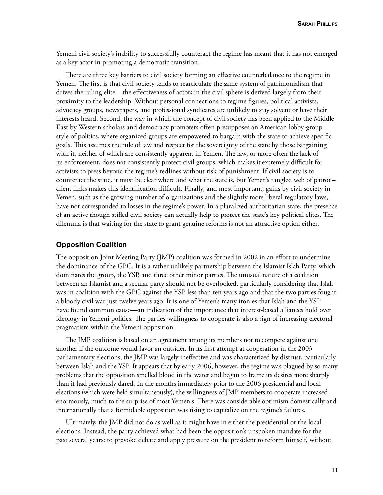Yemeni civil society's inability to successfully counteract the regime has meant that it has not emerged as a key actor in promoting a democratic transition.

There are three key barriers to civil society forming an effective counterbalance to the regime in Yemen. The first is that civil society tends to rearticulate the same system of patrimonialism that drives the ruling elite—the effectiveness of actors in the civil sphere is derived largely from their proximity to the leadership. Without personal connections to regime figures, political activists, advocacy groups, newspapers, and professional syndicates are unlikely to stay solvent or have their interests heard. Second, the way in which the concept of civil society has been applied to the Middle East by Western scholars and democracy promoters often presupposes an American lobby-group style of politics, where organized groups are empowered to bargain with the state to achieve specific goals. This assumes the rule of law and respect for the sovereignty of the state by those bargaining with it, neither of which are consistently apparent in Yemen. The law, or more often the lack of its enforcement, does not consistently protect civil groups, which makes it extremely difficult for activists to press beyond the regime's redlines without risk of punishment. If civil society is to counteract the state, it must be clear where and what the state is, but Yemen's tangled web of patron– client links makes this identification difficult. Finally, and most important, gains by civil society in Yemen, such as the growing number of organizations and the slightly more liberal regulatory laws, have not corresponded to losses in the regime's power. In a pluralized authoritarian state, the presence of an active though stifled civil society can actually help to protect the state's key political elites. The dilemma is that waiting for the state to grant genuine reforms is not an attractive option either.

#### **Opposition Coalition**

The opposition Joint Meeting Party (JMP) coalition was formed in 2002 in an effort to undermine the dominance of the GPC. It is a rather unlikely partnership between the Islamist Islah Party, which dominates the group, the YSP, and three other minor parties. The unusual nature of a coalition between an Islamist and a secular party should not be overlooked, particularly considering that Islah was in coalition with the GPC against the YSP less than ten years ago and that the two parties fought a bloody civil war just twelve years ago. It is one of Yemen's many ironies that Islah and the YSP have found common cause—an indication of the importance that interest-based alliances hold over ideology in Yemeni politics. The parties' willingness to cooperate is also a sign of increasing electoral pragmatism within the Yemeni opposition.

The JMP coalition is based on an agreement among its members not to compete against one another if the outcome would favor an outsider. In its first attempt at cooperation in the 2003 parliamentary elections, the JMP was largely ineffective and was characterized by distrust, particularly between Islah and the YSP. It appears that by early 2006, however, the regime was plagued by so many problems that the opposition smelled blood in the water and began to frame its desires more sharply than it had previously dared. In the months immediately prior to the 2006 presidential and local elections (which were held simultaneously), the willingness of JMP members to cooperate increased enormously, much to the surprise of most Yemenis. There was considerable optimism domestically and internationally that a formidable opposition was rising to capitalize on the regime's failures.

Ultimately, the JMP did not do as well as it might have in either the presidential or the local elections. Instead, the party achieved what had been the opposition's unspoken mandate for the past several years: to provoke debate and apply pressure on the president to reform himself, without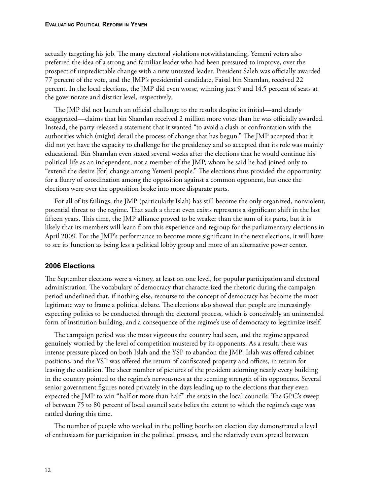actually targeting his job. The many electoral violations notwithstanding, Yemeni voters also preferred the idea of a strong and familiar leader who had been pressured to improve, over the prospect of unpredictable change with a new untested leader. President Saleh was officially awarded 77 percent of the vote, and the JMP's presidential candidate, Faisal bin Shamlan, received 22 percent. In the local elections, the JMP did even worse, winning just 9 and 14.5 percent of seats at the governorate and district level, respectively.

The JMP did not launch an official challenge to the results despite its initial—and clearly exaggerated—claims that bin Shamlan received 2 million more votes than he was officially awarded. Instead, the party released a statement that it wanted "to avoid a clash or confrontation with the authorities which (might) derail the process of change that has begun." The JMP accepted that it did not yet have the capacity to challenge for the presidency and so accepted that its role was mainly educational. Bin Shamlan even stated several weeks after the elections that he would continue his political life as an independent, not a member of the JMP, whom he said he had joined only to "extend the desire [for] change among Yemeni people." The elections thus provided the opportunity for a flurry of coordination among the opposition against a common opponent, but once the elections were over the opposition broke into more disparate parts.

For all of its failings, the JMP (particularly Islah) has still become the only organized, nonviolent, potential threat to the regime. That such a threat even exists represents a significant shift in the last fifteen years. This time, the JMP alliance proved to be weaker than the sum of its parts, but it is likely that its members will learn from this experience and regroup for the parliamentary elections in April 2009. For the JMP's performance to become more significant in the next elections, it will have to see its function as being less a political lobby group and more of an alternative power center.

## **2006 Elections**

The September elections were a victory, at least on one level, for popular participation and electoral administration. The vocabulary of democracy that characterized the rhetoric during the campaign period underlined that, if nothing else, recourse to the concept of democracy has become the most legitimate way to frame a political debate. The elections also showed that people are increasingly expecting politics to be conducted through the electoral process, which is conceivably an unintended form of institution building, and a consequence of the regime's use of democracy to legitimize itself.

The campaign period was the most vigorous the country had seen, and the regime appeared genuinely worried by the level of competition mustered by its opponents. As a result, there was intense pressure placed on both Islah and the YSP to abandon the JMP: Islah was offered cabinet positions, and the YSP was offered the return of confiscated property and offices, in return for leaving the coalition. The sheer number of pictures of the president adorning nearly every building in the country pointed to the regime's nervousness at the seeming strength of its opponents. Several senior government figures noted privately in the days leading up to the elections that they even expected the JMP to win "half or more than half" the seats in the local councils. The GPC's sweep of between 75 to 80 percent of local council seats belies the extent to which the regime's cage was rattled during this time.

The number of people who worked in the polling booths on election day demonstrated a level of enthusiasm for participation in the political process, and the relatively even spread between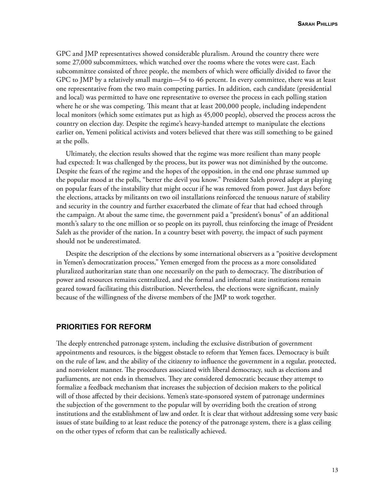GPC and JMP representatives showed considerable pluralism. Around the country there were some 27,000 subcommittees, which watched over the rooms where the votes were cast. Each subcommittee consisted of three people, the members of which were officially divided to favor the GPC to JMP by a relatively small margin—54 to 46 percent. In every committee, there was at least one representative from the two main competing parties. In addition, each candidate (presidential and local) was permitted to have one representative to oversee the process in each polling station where he or she was competing. This meant that at least 200,000 people, including independent local monitors (which some estimates put as high as 45,000 people), observed the process across the country on election day. Despite the regime's heavy-handed attempt to manipulate the elections earlier on, Yemeni political activists and voters believed that there was still something to be gained at the polls.

Ultimately, the election results showed that the regime was more resilient than many people had expected: It was challenged by the process, but its power was not diminished by the outcome. Despite the fears of the regime and the hopes of the opposition, in the end one phrase summed up the popular mood at the polls, "better the devil you know." President Saleh proved adept at playing on popular fears of the instability that might occur if he was removed from power. Just days before the elections, attacks by militants on two oil installations reinforced the tenuous nature of stability and security in the country and further exacerbated the climate of fear that had echoed through the campaign. At about the same time, the government paid a "president's bonus" of an additional month's salary to the one million or so people on its payroll, thus reinforcing the image of President Saleh as the provider of the nation. In a country beset with poverty, the impact of such payment should not be underestimated.

Despite the description of the elections by some international observers as a "positive development in Yemen's democratization process," Yemen emerged from the process as a more consolidated pluralized authoritarian state than one necessarily on the path to democracy. The distribution of power and resources remains centralized, and the formal and informal state institutions remain geared toward facilitating this distribution. Nevertheless, the elections were significant, mainly because of the willingness of the diverse members of the JMP to work together.

### **Priorities for Reform**

The deeply entrenched patronage system, including the exclusive distribution of government appointments and resources, is the biggest obstacle to reform that Yemen faces. Democracy is built on the rule of law, and the ability of the citizenry to influence the government in a regular, protected, and nonviolent manner. The procedures associated with liberal democracy, such as elections and parliaments, are not ends in themselves. They are considered democratic because they attempt to formalize a feedback mechanism that increases the subjection of decision makers to the political will of those affected by their decisions. Yemen's state-sponsored system of patronage undermines the subjection of the government to the popular will by overriding both the creation of strong institutions and the establishment of law and order. It is clear that without addressing some very basic issues of state building to at least reduce the potency of the patronage system, there is a glass ceiling on the other types of reform that can be realistically achieved.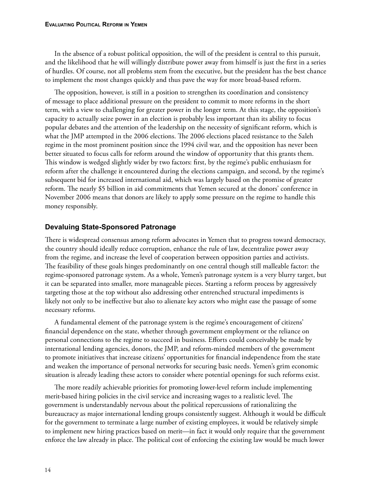In the absence of a robust political opposition, the will of the president is central to this pursuit, and the likelihood that he will willingly distribute power away from himself is just the first in a series of hurdles. Of course, not all problems stem from the executive, but the president has the best chance to implement the most changes quickly and thus pave the way for more broad-based reform.

The opposition, however, is still in a position to strengthen its coordination and consistency of message to place additional pressure on the president to commit to more reforms in the short term, with a view to challenging for greater power in the longer term. At this stage, the opposition's capacity to actually seize power in an election is probably less important than its ability to focus popular debates and the attention of the leadership on the necessity of significant reform, which is what the JMP attempted in the 2006 elections. The 2006 elections placed resistance to the Saleh regime in the most prominent position since the 1994 civil war, and the opposition has never been better situated to focus calls for reform around the window of opportunity that this grants them. This window is wedged slightly wider by two factors: first, by the regime's public enthusiasm for reform after the challenge it encountered during the elections campaign, and second, by the regime's subsequent bid for increased international aid, which was largely based on the promise of greater reform. The nearly \$5 billion in aid commitments that Yemen secured at the donors' conference in November 2006 means that donors are likely to apply some pressure on the regime to handle this money responsibly.

# **Devaluing State-Sponsored Patronage**

There is widespread consensus among reform advocates in Yemen that to progress toward democracy, the country should ideally reduce corruption, enhance the rule of law, decentralize power away from the regime, and increase the level of cooperation between opposition parties and activists. The feasibility of these goals hinges predominantly on one central though still malleable factor: the regime-sponsored patronage system. As a whole, Yemen's patronage system is a very blurry target, but it can be separated into smaller, more manageable pieces. Starting a reform process by aggressively targeting those at the top without also addressing other entrenched structural impediments is likely not only to be ineffective but also to alienate key actors who might ease the passage of some necessary reforms.

A fundamental element of the patronage system is the regime's encouragement of citizens' financial dependence on the state, whether through government employment or the reliance on personal connections to the regime to succeed in business. Efforts could conceivably be made by international lending agencies, donors, the JMP, and reform-minded members of the government to promote initiatives that increase citizens' opportunities for financial independence from the state and weaken the importance of personal networks for securing basic needs. Yemen's grim economic situation is already leading these actors to consider where potential openings for such reforms exist.

The more readily achievable priorities for promoting lower-level reform include implementing merit-based hiring policies in the civil service and increasing wages to a realistic level. The government is understandably nervous about the political repercussions of rationalizing the bureaucracy as major international lending groups consistently suggest. Although it would be difficult for the government to terminate a large number of existing employees, it would be relatively simple to implement new hiring practices based on merit—in fact it would only require that the government enforce the law already in place. The political cost of enforcing the existing law would be much lower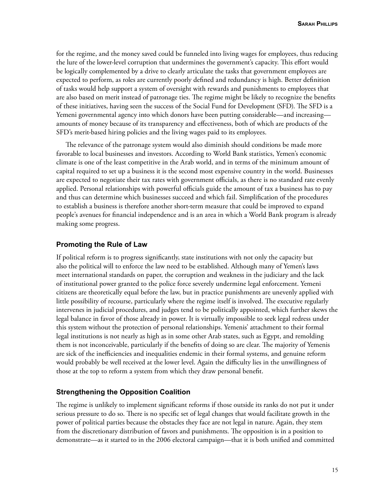for the regime, and the money saved could be funneled into living wages for employees, thus reducing the lure of the lower-level corruption that undermines the government's capacity. This effort would be logically complemented by a drive to clearly articulate the tasks that government employees are expected to perform, as roles are currently poorly defined and redundancy is high. Better definition of tasks would help support a system of oversight with rewards and punishments to employees that are also based on merit instead of patronage ties. The regime might be likely to recognize the benefits of these initiatives, having seen the success of the Social Fund for Development (SFD). The SFD is a Yemeni governmental agency into which donors have been putting considerable—and increasing amounts of money because of its transparency and effectiveness, both of which are products of the SFD's merit-based hiring policies and the living wages paid to its employees.

The relevance of the patronage system would also diminish should conditions be made more favorable to local businesses and investors. According to World Bank statistics, Yemen's economic climate is one of the least competitive in the Arab world, and in terms of the minimum amount of capital required to set up a business it is the second most expensive country in the world. Businesses are expected to negotiate their tax rates with government officials, as there is no standard rate evenly applied. Personal relationships with powerful officials guide the amount of tax a business has to pay and thus can determine which businesses succeed and which fail. Simplification of the procedures to establish a business is therefore another short-term measure that could be improved to expand people's avenues for financial independence and is an area in which a World Bank program is already making some progress.

## **Promoting the Rule of Law**

If political reform is to progress significantly, state institutions with not only the capacity but also the political will to enforce the law need to be established. Although many of Yemen's laws meet international standards on paper, the corruption and weakness in the judiciary and the lack of institutional power granted to the police force severely undermine legal enforcement. Yemeni citizens are theoretically equal before the law, but in practice punishments are unevenly applied with little possibility of recourse, particularly where the regime itself is involved. The executive regularly intervenes in judicial procedures, and judges tend to be politically appointed, which further skews the legal balance in favor of those already in power. It is virtually impossible to seek legal redress under this system without the protection of personal relationships. Yemenis' attachment to their formal legal institutions is not nearly as high as in some other Arab states, such as Egypt, and remolding them is not inconceivable, particularly if the benefits of doing so are clear. The majority of Yemenis are sick of the inefficiencies and inequalities endemic in their formal systems, and genuine reform would probably be well received at the lower level. Again the difficulty lies in the unwillingness of those at the top to reform a system from which they draw personal benefit.

# **Strengthening the Opposition Coalition**

The regime is unlikely to implement significant reforms if those outside its ranks do not put it under serious pressure to do so. There is no specific set of legal changes that would facilitate growth in the power of political parties because the obstacles they face are not legal in nature. Again, they stem from the discretionary distribution of favors and punishments. The opposition is in a position to demonstrate—as it started to in the 2006 electoral campaign—that it is both unified and committed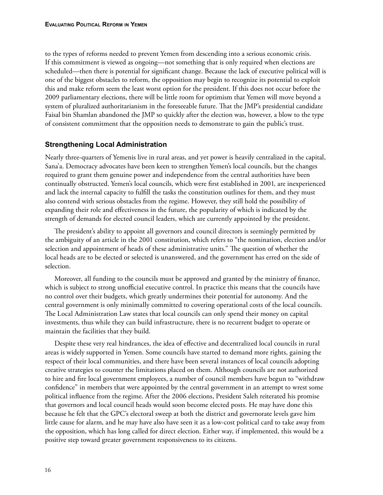to the types of reforms needed to prevent Yemen from descending into a serious economic crisis. If this commitment is viewed as ongoing—not something that is only required when elections are scheduled—then there is potential for significant change. Because the lack of executive political will is one of the biggest obstacles to reform, the opposition may begin to recognize its potential to exploit this and make reform seem the least worst option for the president. If this does not occur before the 2009 parliamentary elections, there will be little room for optimism that Yemen will move beyond a system of pluralized authoritarianism in the foreseeable future. That the JMP's presidential candidate Faisal bin Shamlan abandoned the JMP so quickly after the election was, however, a blow to the type of consistent commitment that the opposition needs to demonstrate to gain the public's trust.

## **Strengthening Local Administration**

Nearly three-quarters of Yemenis live in rural areas, and yet power is heavily centralized in the capital, Sana'a. Democracy advocates have been keen to strengthen Yemen's local councils, but the changes required to grant them genuine power and independence from the central authorities have been continually obstructed. Yemen's local councils, which were first established in 2001, are inexperienced and lack the internal capacity to fulfill the tasks the constitution outlines for them, and they must also contend with serious obstacles from the regime. However, they still hold the possibility of expanding their role and effectiveness in the future, the popularity of which is indicated by the strength of demands for elected council leaders, which are currently appointed by the president.

The president's ability to appoint all governors and council directors is seemingly permitted by the ambiguity of an article in the 2001 constitution, which refers to "the nomination, election and/or selection and appointment of heads of these administrative units." The question of whether the local heads are to be elected or selected is unanswered, and the government has erred on the side of selection.

Moreover, all funding to the councils must be approved and granted by the ministry of finance, which is subject to strong unofficial executive control. In practice this means that the councils have no control over their budgets, which greatly undermines their potential for autonomy. And the central government is only minimally committed to covering operational costs of the local councils. The Local Administration Law states that local councils can only spend their money on capital investments, thus while they can build infrastructure, there is no recurrent budget to operate or maintain the facilities that they build.

Despite these very real hindrances, the idea of effective and decentralized local councils in rural areas is widely supported in Yemen. Some councils have started to demand more rights, gaining the respect of their local communities, and there have been several instances of local councils adopting creative strategies to counter the limitations placed on them. Although councils are not authorized to hire and fire local government employees, a number of council members have begun to "withdraw confidence" in members that were appointed by the central government in an attempt to wrest some political influence from the regime. After the 2006 elections, President Saleh reiterated his promise that governors and local council heads would soon become elected posts. He may have done this because he felt that the GPC's electoral sweep at both the district and governorate levels gave him little cause for alarm, and he may have also have seen it as a low-cost political card to take away from the opposition, which has long called for direct election. Either way, if implemented, this would be a positive step toward greater government responsiveness to its citizens.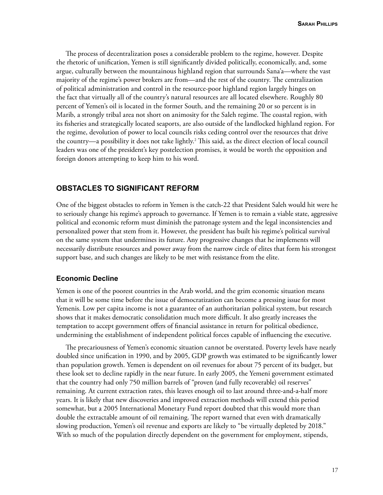The process of decentralization poses a considerable problem to the regime, however. Despite the rhetoric of unification, Yemen is still significantly divided politically, economically, and, some argue, culturally between the mountainous highland region that surrounds Sana'a—where the vast majority of the regime's power brokers are from—and the rest of the country. The centralization of political administration and control in the resource-poor highland region largely hinges on the fact that virtually all of the country's natural resources are all located elsewhere. Roughly 80 percent of Yemen's oil is located in the former South, and the remaining 20 or so percent is in Marib, a strongly tribal area not short on animosity for the Saleh regime. The coastal region, with its fisheries and strategically located seaports, are also outside of the landlocked highland region. For the regime, devolution of power to local councils risks ceding control over the resources that drive the country—a possibility it does not take lightly.<sup>2</sup> This said, as the direct election of local council leaders was one of the president's key postelection promises, it would be worth the opposition and foreign donors attempting to keep him to his word.

## **Obstacles to Significant Reform**

One of the biggest obstacles to reform in Yemen is the catch-22 that President Saleh would hit were he to seriously change his regime's approach to governance. If Yemen is to remain a viable state, aggressive political and economic reform must diminish the patronage system and the legal inconsistencies and personalized power that stem from it. However, the president has built his regime's political survival on the same system that undermines its future. Any progressive changes that he implements will necessarily distribute resources and power away from the narrow circle of elites that form his strongest support base, and such changes are likely to be met with resistance from the elite.

#### **Economic Decline**

Yemen is one of the poorest countries in the Arab world, and the grim economic situation means that it will be some time before the issue of democratization can become a pressing issue for most Yemenis. Low per capita income is not a guarantee of an authoritarian political system, but research shows that it makes democratic consolidation much more difficult. It also greatly increases the temptation to accept government offers of financial assistance in return for political obedience, undermining the establishment of independent political forces capable of influencing the executive.

The precariousness of Yemen's economic situation cannot be overstated. Poverty levels have nearly doubled since unification in 1990, and by 2005, GDP growth was estimated to be significantly lower than population growth. Yemen is dependent on oil revenues for about 75 percent of its budget, but these look set to decline rapidly in the near future. In early 2005, the Yemeni government estimated that the country had only 750 million barrels of "proven (and fully recoverable) oil reserves" remaining. At current extraction rates, this leaves enough oil to last around three-and-a-half more years. It is likely that new discoveries and improved extraction methods will extend this period somewhat, but a 2005 International Monetary Fund report doubted that this would more than double the extractable amount of oil remaining. The report warned that even with dramatically slowing production, Yemen's oil revenue and exports are likely to "be virtually depleted by 2018." With so much of the population directly dependent on the government for employment, stipends,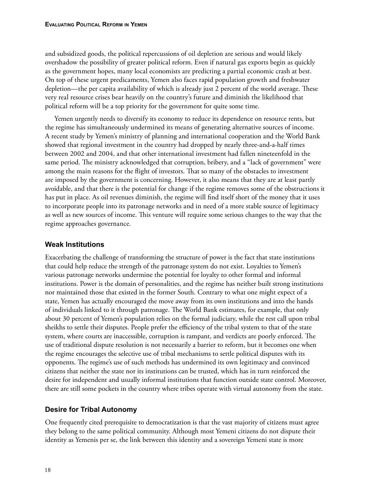and subsidized goods, the political repercussions of oil depletion are serious and would likely overshadow the possibility of greater political reform. Even if natural gas exports begin as quickly as the government hopes, many local economists are predicting a partial economic crash at best. On top of these urgent predicaments, Yemen also faces rapid population growth and freshwater depletion—the per capita availability of which is already just 2 percent of the world average. These very real resource crises bear heavily on the country's future and diminish the likelihood that political reform will be a top priority for the government for quite some time.

Yemen urgently needs to diversify its economy to reduce its dependence on resource rents, but the regime has simultaneously undermined its means of generating alternative sources of income. A recent study by Yemen's ministry of planning and international cooperation and the World Bank showed that regional investment in the country had dropped by nearly three-and-a-half times between 2002 and 2004, and that other international investment had fallen nineteenfold in the same period. The ministry acknowledged that corruption, bribery, and a "lack of government" were among the main reasons for the flight of investors. That so many of the obstacles to investment are imposed by the government is concerning. However, it also means that they are at least partly avoidable, and that there is the potential for change if the regime removes some of the obstructions it has put in place. As oil revenues diminish, the regime will find itself short of the money that it uses to incorporate people into its patronage networks and in need of a more stable source of legitimacy as well as new sources of income. This venture will require some serious changes to the way that the regime approaches governance.

# **Weak Institutions**

Exacerbating the challenge of transforming the structure of power is the fact that state institutions that could help reduce the strength of the patronage system do not exist. Loyalties to Yemen's various patronage networks undermine the potential for loyalty to other formal and informal institutions. Power is the domain of personalities, and the regime has neither built strong institutions nor maintained those that existed in the former South. Contrary to what one might expect of a state, Yemen has actually encouraged the move away from its own institutions and into the hands of individuals linked to it through patronage. The World Bank estimates, for example, that only about 30 percent of Yemen's population relies on the formal judiciary, while the rest call upon tribal sheikhs to settle their disputes. People prefer the efficiency of the tribal system to that of the state system, where courts are inaccessible, corruption is rampant, and verdicts are poorly enforced. The use of traditional dispute resolution is not necessarily a barrier to reform, but it becomes one when the regime encourages the selective use of tribal mechanisms to settle political disputes with its opponents. The regime's use of such methods has undermined its own legitimacy and convinced citizens that neither the state nor its institutions can be trusted, which has in turn reinforced the desire for independent and usually informal institutions that function outside state control. Moreover, there are still some pockets in the country where tribes operate with virtual autonomy from the state.

# **Desire for Tribal Autonomy**

One frequently cited prerequisite to democratization is that the vast majority of citizens must agree they belong to the same political community. Although most Yemeni citizens do not dispute their identity as Yemenis per se, the link between this identity and a sovereign Yemeni state is more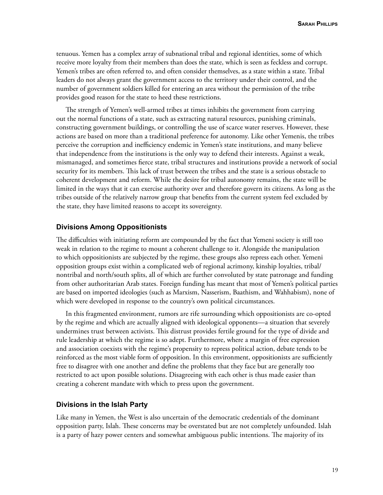tenuous. Yemen has a complex array of subnational tribal and regional identities, some of which receive more loyalty from their members than does the state, which is seen as feckless and corrupt. Yemen's tribes are often referred to, and often consider themselves, as a state within a state. Tribal leaders do not always grant the government access to the territory under their control, and the number of government soldiers killed for entering an area without the permission of the tribe provides good reason for the state to heed these restrictions.

The strength of Yemen's well-armed tribes at times inhibits the government from carrying out the normal functions of a state, such as extracting natural resources, punishing criminals, constructing government buildings, or controlling the use of scarce water reserves. However, these actions are based on more than a traditional preference for autonomy. Like other Yemenis, the tribes perceive the corruption and inefficiency endemic in Yemen's state institutions, and many believe that independence from the institutions is the only way to defend their interests. Against a weak, mismanaged, and sometimes fierce state, tribal structures and institutions provide a network of social security for its members. This lack of trust between the tribes and the state is a serious obstacle to coherent development and reform. While the desire for tribal autonomy remains, the state will be limited in the ways that it can exercise authority over and therefore govern its citizens. As long as the tribes outside of the relatively narrow group that benefits from the current system feel excluded by the state, they have limited reasons to accept its sovereignty.

### **Divisions Among Oppositionists**

The difficulties with initiating reform are compounded by the fact that Yemeni society is still too weak in relation to the regime to mount a coherent challenge to it. Alongside the manipulation to which oppositionists are subjected by the regime, these groups also repress each other. Yemeni opposition groups exist within a complicated web of regional acrimony, kinship loyalties, tribal/ nontribal and north/south splits, all of which are further convoluted by state patronage and funding from other authoritarian Arab states. Foreign funding has meant that most of Yemen's political parties are based on imported ideologies (such as Marxism, Nasserism, Baathism, and Wahhabism), none of which were developed in response to the country's own political circumstances.

In this fragmented environment, rumors are rife surrounding which oppositionists are co-opted by the regime and which are actually aligned with ideological opponents—a situation that severely undermines trust between activists. This distrust provides fertile ground for the type of divide and rule leadership at which the regime is so adept. Furthermore, where a margin of free expression and association coexists with the regime's propensity to repress political action, debate tends to be reinforced as the most viable form of opposition. In this environment, oppositionists are sufficiently free to disagree with one another and define the problems that they face but are generally too restricted to act upon possible solutions. Disagreeing with each other is thus made easier than creating a coherent mandate with which to press upon the government.

#### **Divisions in the Islah Party**

Like many in Yemen, the West is also uncertain of the democratic credentials of the dominant opposition party, Islah. These concerns may be overstated but are not completely unfounded. Islah is a party of hazy power centers and somewhat ambiguous public intentions. The majority of its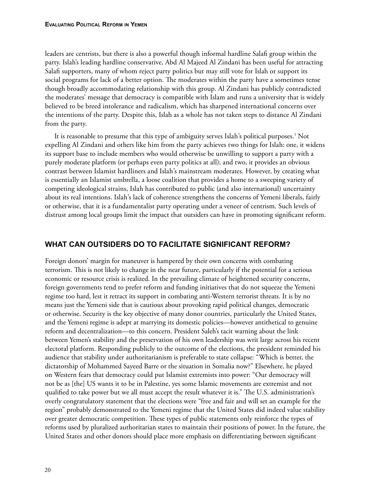leaders are centrists, but there is also a powerful though informal hardline Salafi group within the party. Islah's leading hardline conservative, Abd Al Majeed Al Zindani has been useful for attracting Salafi supporters, many of whom reject party politics but may still vote for Islah or support its social programs for lack of a better option. The moderates within the party have a sometimes tense though broadly accommodating relationship with this group. Al Zindani has publicly contradicted the moderates' message that democracy is compatible with Islam and runs a university that is widely believed to be breed intolerance and radicalism, which has sharpened international concerns over the intentions of the party. Despite this, Islah as a whole has not taken steps to distance Al Zindani from the party.

It is reasonable to presume that this type of ambiguity serves Islah's political purposes.<sup>3</sup> Not expelling Al Zindani and others like him from the party achieves two things for Islah: one, it widens its support base to include members who would otherwise be unwilling to support a party with a purely moderate platform (or perhaps even party politics at all); and two, it provides an obvious contrast between Islamist hardliners and Islah's mainstream moderates. However, by creating what is essentially an Islamist umbrella, a loose coalition that provides a home to a sweeping variety of competing ideological strains, Islah has contributed to public (and also international) uncertainty about its real intentions. Islah's lack of coherence strengthens the concerns of Yemeni liberals, fairly or otherwise, that it is a fundamentalist party operating under a veneer of centrism. Such levels of distrust among local groups limit the impact that outsiders can have in promoting significant reform.

# **What Can Outsiders Do to Facilitate Significant Reform?**

Foreign donors' margin for maneuver is hampered by their own concerns with combating terrorism. This is not likely to change in the near future, particularly if the potential for a serious economic or resource crisis is realized. In the prevailing climate of heightened security concerns, foreign governments tend to prefer reform and funding initiatives that do not squeeze the Yemeni regime too hard, lest it retract its support in combating anti-Western terrorist threats. It is by no means just the Yemeni side that is cautious about provoking rapid political changes, democratic or otherwise. Security is the key objective of many donor countries, particularly the United States, and the Yemeni regime is adept at marrying its domestic policies—however antithetical to genuine reform and decentralization—to this concern. President Saleh's tacit warning about the link between Yemen's stability and the preservation of his own leadership was writ large across his recent electoral platform. Responding publicly to the outcome of the elections, the president reminded his audience that stability under authoritarianism is preferable to state collapse: "Which is better, the dictatorship of Mohammed Sayeed Barre or the situation in Somalia now?" Elsewhere, he played on Western fears that democracy could put Islamist extremists into power: "Our democracy will not be as [the] US wants it to be in Palestine, yes some Islamic movements are extremist and not qualified to take power but we all must accept the result whatever it is." The U.S. administration's overly congratulatory statement that the elections were "free and fair and will set an example for the region" probably demonstrated to the Yemeni regime that the United States did indeed value stability over greater democratic competition. These types of public statements only reinforce the types of reforms used by pluralized authoritarian states to maintain their positions of power. In the future, the United States and other donors should place more emphasis on differentiating between significant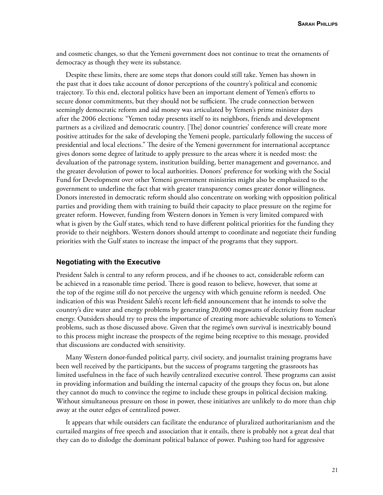**Sarah Phillips**

and cosmetic changes, so that the Yemeni government does not continue to treat the ornaments of democracy as though they were its substance.

Despite these limits, there are some steps that donors could still take. Yemen has shown in the past that it does take account of donor perceptions of the country's political and economic trajectory. To this end, electoral politics have been an important element of Yemen's efforts to secure donor commitments, but they should not be sufficient. The crude connection between seemingly democratic reform and aid money was articulated by Yemen's prime minister days after the 2006 elections: "Yemen today presents itself to its neighbors, friends and development partners as a civilized and democratic country. [The] donor countries' conference will create more positive attitudes for the sake of developing the Yemeni people, particularly following the success of presidential and local elections." The desire of the Yemeni government for international acceptance gives donors some degree of latitude to apply pressure to the areas where it is needed most: the devaluation of the patronage system, institution building, better management and governance, and the greater devolution of power to local authorities. Donors' preference for working with the Social Fund for Development over other Yemeni government ministries might also be emphasized to the government to underline the fact that with greater transparency comes greater donor willingness. Donors interested in democratic reform should also concentrate on working with opposition political parties and providing them with training to build their capacity to place pressure on the regime for greater reform. However, funding from Western donors in Yemen is very limited compared with what is given by the Gulf states, which tend to have different political priorities for the funding they provide to their neighbors. Western donors should attempt to coordinate and negotiate their funding priorities with the Gulf states to increase the impact of the programs that they support.

#### **Negotiating with the Executive**

President Saleh is central to any reform process, and if he chooses to act, considerable reform can be achieved in a reasonable time period. There is good reason to believe, however, that some at the top of the regime still do not perceive the urgency with which genuine reform is needed. One indication of this was President Saleh's recent left-field announcement that he intends to solve the country's dire water and energy problems by generating 20,000 megawatts of electricity from nuclear energy. Outsiders should try to press the importance of creating more achievable solutions to Yemen's problems, such as those discussed above. Given that the regime's own survival is inextricably bound to this process might increase the prospects of the regime being receptive to this message, provided that discussions are conducted with sensitivity.

Many Western donor-funded political party, civil society, and journalist training programs have been well received by the participants, but the success of programs targeting the grassroots has limited usefulness in the face of such heavily centralized executive control. These programs can assist in providing information and building the internal capacity of the groups they focus on, but alone they cannot do much to convince the regime to include these groups in political decision making. Without simultaneous pressure on those in power, these initiatives are unlikely to do more than chip away at the outer edges of centralized power.

It appears that while outsiders can facilitate the endurance of pluralized authoritarianism and the curtailed margins of free speech and association that it entails, there is probably not a great deal that they can do to dislodge the dominant political balance of power. Pushing too hard for aggressive

21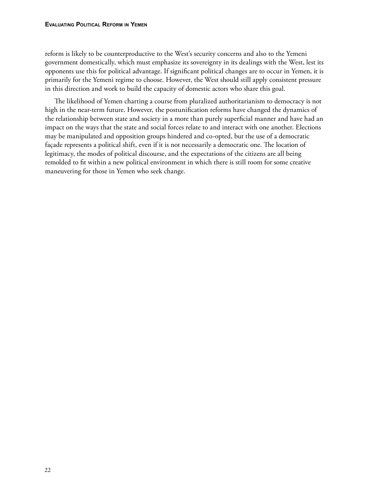reform is likely to be counterproductive to the West's security concerns and also to the Yemeni government domestically, which must emphasize its sovereignty in its dealings with the West, lest its opponents use this for political advantage. If significant political changes are to occur in Yemen, it is primarily for the Yemeni regime to choose. However, the West should still apply consistent pressure in this direction and work to build the capacity of domestic actors who share this goal.

The likelihood of Yemen charting a course from pluralized authoritarianism to democracy is not high in the near-term future. However, the postunification reforms have changed the dynamics of the relationship between state and society in a more than purely superficial manner and have had an impact on the ways that the state and social forces relate to and interact with one another. Elections may be manipulated and opposition groups hindered and co-opted, but the use of a democratic façade represents a political shift, even if it is not necessarily a democratic one. The location of legitimacy, the modes of political discourse, and the expectations of the citizens are all being remolded to fit within a new political environment in which there is still room for some creative maneuvering for those in Yemen who seek change.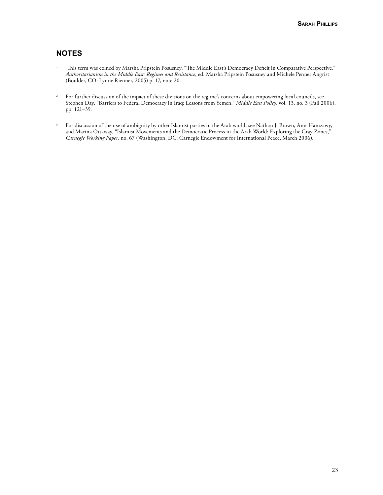## **Notes**

- <sup>1</sup> This term was coined by Marsha Pripstein Posusney, "The Middle East's Democracy Deficit in Comparative Perspective," *Authoritarianism in the Middle East: Regimes and Resistance*, ed. Marsha Pripstein Posusney and Michele Penner Angrist (Boulder, CO: Lynne Rienner, 2005) p. 17, note 20.
- <sup>2</sup> For further discussion of the impact of these divisions on the regime's concerns about empowering local councils, see Stephen Day, "Barriers to Federal Democracy in Iraq: Lessons from Yemen," *Middle East Policy*, vol. 13, no. 3 (Fall 2006), pp. 121–39.
- <sup>3</sup> For discussion of the use of ambiguity by other Islamist parties in the Arab world, see Nathan J. Brown, Amr Hamzawy, and Marina Ottaway, "Islamist Movements and the Democratic Process in the Arab World: Exploring the Gray Zones," *Carnegie Working Paper*, no. 67 (Washington, DC: Carnegie Endowment for International Peace, March 2006).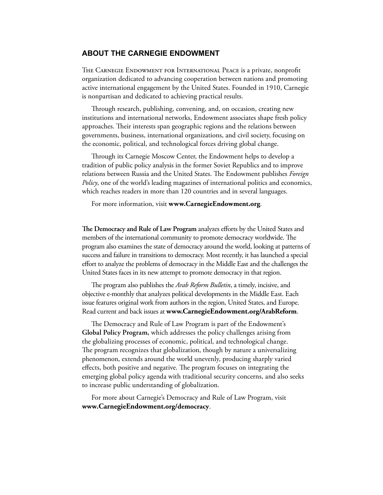## **About the Carnegie Endowment**

The Carnegie Endowment for International Peace is a private, nonprofit organization dedicated to advancing cooperation between nations and promoting active international engagement by the United States. Founded in 1910, Carnegie is nonpartisan and dedicated to achieving practical results.

Through research, publishing, convening, and, on occasion, creating new institutions and international networks, Endowment associates shape fresh policy approaches. Their interests span geographic regions and the relations between governments, business, international organizations, and civil society, focusing on the economic, political, and technological forces driving global change.

Through its Carnegie Moscow Center, the Endowment helps to develop a tradition of public policy analysis in the former Soviet Republics and to improve relations between Russia and the United States. The Endowment publishes *Foreign Policy*, one of the world's leading magazines of international politics and economics, which reaches readers in more than 120 countries and in several languages.

For more information, visit **www.CarnegieEndowment.org**.

**The Democracy and Rule of Law Program** analyzes efforts by the United States and members of the international community to promote democracy worldwide. The program also examines the state of democracy around the world, looking at patterns of success and failure in transitions to democracy. Most recently, it has launched a special effort to analyze the problems of democracy in the Middle East and the challenges the United States faces in its new attempt to promote democracy in that region.

The program also publishes the *Arab Reform Bulletin*, a timely, incisive, and objective e-monthly that analyzes political developments in the Middle East. Each issue features original work from authors in the region, United States, and Europe. Read current and back issues at **www.CarnegieEndowment.org/ArabReform**.

The Democracy and Rule of Law Program is part of the Endowment's **Global Policy Program,** which addresses the policy challenges arising from the globalizing processes of economic, political, and technological change. The program recognizes that globalization, though by nature a universalizing phenomenon, extends around the world unevenly, producing sharply varied effects, both positive and negative. The program focuses on integrating the emerging global policy agenda with traditional security concerns, and also seeks to increase public understanding of globalization.

For more about Carnegie's Democracy and Rule of Law Program, visit **www.CarnegieEndowment.org/democracy**.